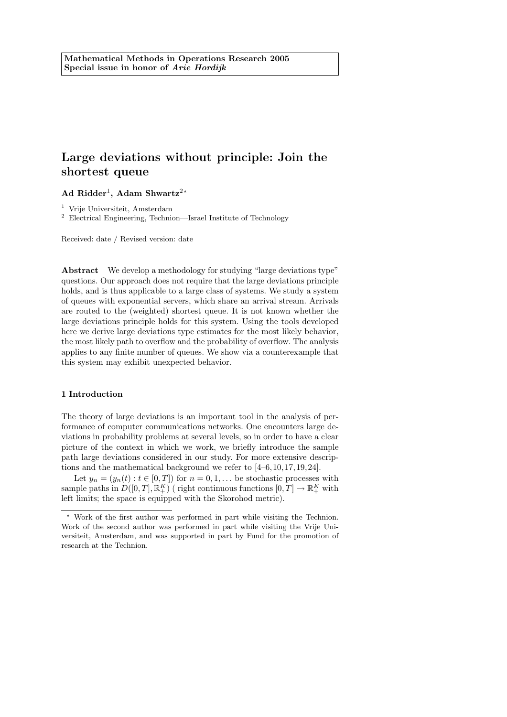# Large deviations without principle: Join the shortest queue

Ad Ridder<sup>1</sup>, Adam Shwartz<sup>2\*</sup>

<sup>1</sup> Vrije Universiteit, Amsterdam

<sup>2</sup> Electrical Engineering, Technion—Israel Institute of Technology

Received: date / Revised version: date

Abstract We develop a methodology for studying "large deviations type" questions. Our approach does not require that the large deviations principle holds, and is thus applicable to a large class of systems. We study a system of queues with exponential servers, which share an arrival stream. Arrivals are routed to the (weighted) shortest queue. It is not known whether the large deviations principle holds for this system. Using the tools developed here we derive large deviations type estimates for the most likely behavior, the most likely path to overflow and the probability of overflow. The analysis applies to any finite number of queues. We show via a counterexample that this system may exhibit unexpected behavior.

# 1 Introduction

The theory of large deviations is an important tool in the analysis of performance of computer communications networks. One encounters large deviations in probability problems at several levels, so in order to have a clear picture of the context in which we work, we briefly introduce the sample path large deviations considered in our study. For more extensive descriptions and the mathematical background we refer to [4–6,10, 17, 19, 24].

Let  $y_n = (y_n(t) : t \in [0, T])$  for  $n = 0, 1, ...$  be stochastic processes with sample paths in  $D([0,T], \mathbb{R}^K_+)$  (right continuous functions  $[0,T] \to \mathbb{R}^K_+$  with left limits; the space is equipped with the Skorohod metric).

Work of the first author was performed in part while visiting the Technion. Work of the second author was performed in part while visiting the Vrije Universiteit, Amsterdam, and was supported in part by Fund for the promotion of research at the Technion.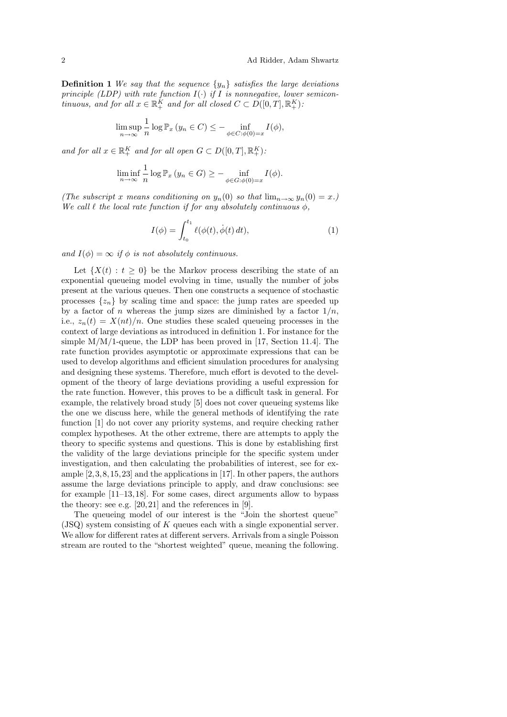**Definition 1** We say that the sequence  $\{y_n\}$  satisfies the large deviations principle (LDP) with rate function  $I(\cdot)$  if I is nonnegative, lower semicontinuous, and for all  $x \in \mathbb{R}_+^K$  and for all closed  $C \subset D([0, T], \mathbb{R}_+^K)$ :

$$
\limsup_{n \to \infty} \frac{1}{n} \log \mathbb{P}_x \left( y_n \in C \right) \leq - \inf_{\phi \in C : \phi(0) = x} I(\phi),
$$

and for all  $x \in \mathbb{R}_+^K$  and for all open  $G \subset D([0,T], \mathbb{R}_+^K)$ :

$$
\liminf_{n \to \infty} \frac{1}{n} \log \mathbb{P}_x \left( y_n \in G \right) \ge - \inf_{\phi \in G : \phi(0) = x} I(\phi).
$$

(The subscript x means conditioning on  $y_n(0)$  so that  $\lim_{n\to\infty} y_n(0) = x$ .) We call  $\ell$  the local rate function if for any absolutely continuous  $\phi$ ,

$$
I(\phi) = \int_{t_0}^{t_1} \ell(\phi(t), \dot{\phi}(t) dt),
$$
 (1)

and  $I(\phi) = \infty$  if  $\phi$  is not absolutely continuous.

Let  $\{X(t): t \geq 0\}$  be the Markov process describing the state of an exponential queueing model evolving in time, usually the number of jobs present at the various queues. Then one constructs a sequence of stochastic processes  $\{z_n\}$  by scaling time and space: the jump rates are speeded up by a factor of n whereas the jump sizes are diminished by a factor  $1/n$ , i.e.,  $z_n(t) = X(nt)/n$ . One studies these scaled queueing processes in the context of large deviations as introduced in definition 1. For instance for the simple  $M/M/1$ -queue, the LDP has been proved in [17, Section 11.4]. The rate function provides asymptotic or approximate expressions that can be used to develop algorithms and efficient simulation procedures for analysing and designing these systems. Therefore, much effort is devoted to the development of the theory of large deviations providing a useful expression for the rate function. However, this proves to be a difficult task in general. For example, the relatively broad study [5] does not cover queueing systems like the one we discuss here, while the general methods of identifying the rate function [1] do not cover any priority systems, and require checking rather complex hypotheses. At the other extreme, there are attempts to apply the theory to specific systems and questions. This is done by establishing first the validity of the large deviations principle for the specific system under investigation, and then calculating the probabilities of interest, see for example  $[2, 3, 8, 15, 23]$  and the applications in [17]. In other papers, the authors assume the large deviations principle to apply, and draw conclusions: see for example [11–13, 18]. For some cases, direct arguments allow to bypass the theory: see e.g. [20, 21] and the references in [9].

The queueing model of our interest is the "Join the shortest queue" (JSQ) system consisting of K queues each with a single exponential server. We allow for different rates at different servers. Arrivals from a single Poisson stream are routed to the "shortest weighted" queue, meaning the following.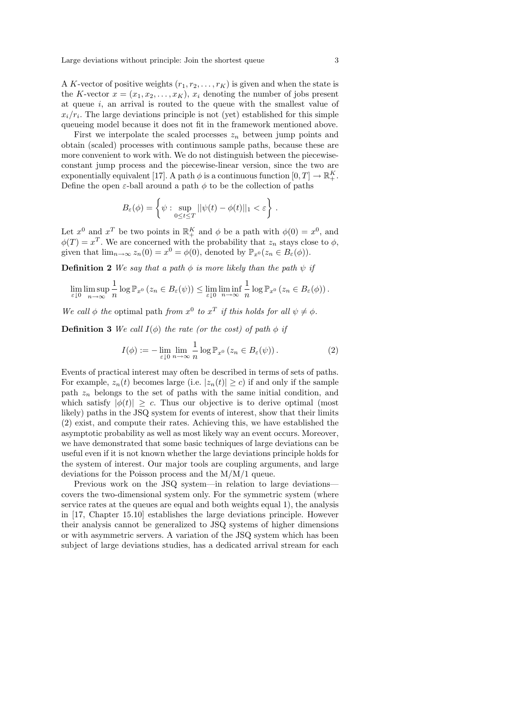A K-vector of positive weights  $(r_1, r_2, \ldots, r_K)$  is given and when the state is the K-vector  $x = (x_1, x_2, \ldots, x_K)$ ,  $x_i$  denoting the number of jobs present at queue  $i$ , an arrival is routed to the queue with the smallest value of  $x_i/r_i$ . The large deviations principle is not (yet) established for this simple queueing model because it does not fit in the framework mentioned above.

First we interpolate the scaled processes  $z_n$  between jump points and obtain (scaled) processes with continuous sample paths, because these are more convenient to work with. We do not distinguish between the piecewiseconstant jump process and the piecewise-linear version, since the two are exponentially equivalent [17]. A path  $\phi$  is a continuous function  $[0, T] \to \mathbb{R}^K_+$ . Define the open  $\varepsilon$ -ball around a path  $\phi$  to be the collection of paths

$$
B_{\varepsilon}(\phi) = \left\{ \psi : \sup_{0 \le t \le T} ||\psi(t) - \phi(t)||_1 < \varepsilon \right\}.
$$

Let  $x^0$  and  $x^T$  be two points in  $\mathbb{R}_+^K$  and  $\phi$  be a path with  $\phi(0) = x^0$ , and  $\phi(T) = x^T$ . We are concerned with the probability that  $z_n$  stays close to  $\phi$ , given that  $\lim_{n\to\infty} z_n(0) = x^0 = \phi(0)$ , denoted by  $\mathbb{P}_{x^0}(z_n \in B_{\varepsilon}(\phi))$ .

**Definition 2** We say that a path  $\phi$  is more likely than the path  $\psi$  if

$$
\lim_{\varepsilon \downarrow 0} \limsup_{n \to \infty} \frac{1}{n} \log \mathbb{P}_{x^0} \left( z_n \in B_{\varepsilon}(\psi) \right) \leq \lim_{\varepsilon \downarrow 0} \liminf_{n \to \infty} \frac{1}{n} \log \mathbb{P}_{x^0} \left( z_n \in B_{\varepsilon}(\phi) \right).
$$

We call  $\phi$  the optimal path from  $x^0$  to  $x^T$  if this holds for all  $\psi \neq \phi$ .

**Definition 3** We call  $I(\phi)$  the rate (or the cost) of path  $\phi$  if

$$
I(\phi) := -\lim_{\varepsilon \downarrow 0} \lim_{n \to \infty} \frac{1}{n} \log \mathbb{P}_{x^0} \left( z_n \in B_{\varepsilon}(\psi) \right). \tag{2}
$$

Events of practical interest may often be described in terms of sets of paths. For example,  $z_n(t)$  becomes large (i.e.  $|z_n(t)| \ge c$ ) if and only if the sample path  $z_n$  belongs to the set of paths with the same initial condition, and which satisfy  $|\phi(t)| \geq c$ . Thus our objective is to derive optimal (most likely) paths in the JSQ system for events of interest, show that their limits (2) exist, and compute their rates. Achieving this, we have established the asymptotic probability as well as most likely way an event occurs. Moreover, we have demonstrated that some basic techniques of large deviations can be useful even if it is not known whether the large deviations principle holds for the system of interest. Our major tools are coupling arguments, and large deviations for the Poisson process and the M/M/1 queue.

Previous work on the JSQ system—in relation to large deviations covers the two-dimensional system only. For the symmetric system (where service rates at the queues are equal and both weights equal 1), the analysis in [17, Chapter 15.10] establishes the large deviations principle. However their analysis cannot be generalized to JSQ systems of higher dimensions or with asymmetric servers. A variation of the JSQ system which has been subject of large deviations studies, has a dedicated arrival stream for each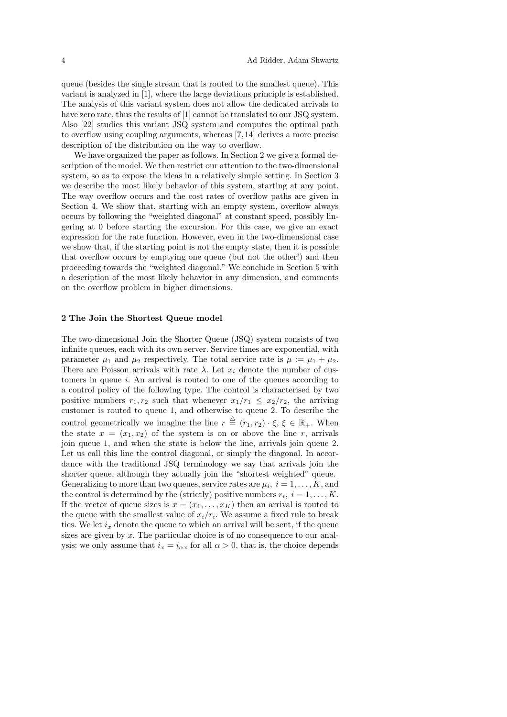queue (besides the single stream that is routed to the smallest queue). This variant is analyzed in [1], where the large deviations principle is established. The analysis of this variant system does not allow the dedicated arrivals to have zero rate, thus the results of [1] cannot be translated to our JSQ system. Also [22] studies this variant JSQ system and computes the optimal path to overflow using coupling arguments, whereas [7, 14] derives a more precise description of the distribution on the way to overflow.

We have organized the paper as follows. In Section 2 we give a formal description of the model. We then restrict our attention to the two-dimensional system, so as to expose the ideas in a relatively simple setting. In Section 3 we describe the most likely behavior of this system, starting at any point. The way overflow occurs and the cost rates of overflow paths are given in Section 4. We show that, starting with an empty system, overflow always occurs by following the "weighted diagonal" at constant speed, possibly lingering at 0 before starting the excursion. For this case, we give an exact expression for the rate function. However, even in the two-dimensional case we show that, if the starting point is not the empty state, then it is possible that overflow occurs by emptying one queue (but not the other!) and then proceeding towards the "weighted diagonal." We conclude in Section 5 with a description of the most likely behavior in any dimension, and comments on the overflow problem in higher dimensions.

# 2 The Join the Shortest Queue model

The two-dimensional Join the Shorter Queue (JSQ) system consists of two infinite queues, each with its own server. Service times are exponential, with parameter  $\mu_1$  and  $\mu_2$  respectively. The total service rate is  $\mu := \mu_1 + \mu_2$ . There are Poisson arrivals with rate  $\lambda$ . Let  $x_i$  denote the number of customers in queue i. An arrival is routed to one of the queues according to a control policy of the following type. The control is characterised by two positive numbers  $r_1, r_2$  such that whenever  $x_1/r_1 \leq x_2/r_2$ , the arriving customer is routed to queue 1, and otherwise to queue 2. To describe the control geometrically we imagine the line  $r \triangleq (r_1, r_2) \cdot \xi, \xi \in \mathbb{R}_+$ . When the state  $x = (x_1, x_2)$  of the system is on or above the line r, arrivals join queue 1, and when the state is below the line, arrivals join queue 2. Let us call this line the control diagonal, or simply the diagonal. In accordance with the traditional JSQ terminology we say that arrivals join the shorter queue, although they actually join the "shortest weighted" queue. Generalizing to more than two queues, service rates are  $\mu_i$ ,  $i = 1, \ldots, K$ , and the control is determined by the (strictly) positive numbers  $r_i$ ,  $i = 1, ..., K$ . If the vector of queue sizes is  $x = (x_1, \ldots, x_K)$  then an arrival is routed to the queue with the smallest value of  $x_i/r_i$ . We assume a fixed rule to break ties. We let  $i_x$  denote the queue to which an arrival will be sent, if the queue sizes are given by  $x$ . The particular choice is of no consequence to our analysis: we only assume that  $i_x = i_{\alpha x}$  for all  $\alpha > 0$ , that is, the choice depends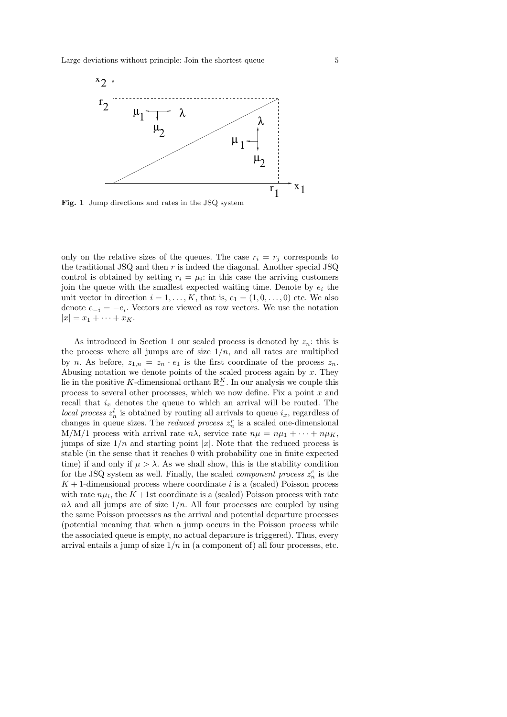

Fig. 1 Jump directions and rates in the JSQ system

only on the relative sizes of the queues. The case  $r_i = r_j$  corresponds to the traditional JSQ and then r is indeed the diagonal. Another special JSQ control is obtained by setting  $r_i = \mu_i$ : in this case the arriving customers join the queue with the smallest expected waiting time. Denote by  $e_i$  the unit vector in direction  $i = 1, \ldots, K$ , that is,  $e_1 = (1, 0, \ldots, 0)$  etc. We also denote  $e_{-i} = -e_i$ . Vectors are viewed as row vectors. We use the notation  $|x| = x_1 + \cdots + x_K.$ 

As introduced in Section 1 our scaled process is denoted by  $z_n$ ; this is the process where all jumps are of size  $1/n$ , and all rates are multiplied by n. As before,  $z_{1,n} = z_n \cdot e_1$  is the first coordinate of the process  $z_n$ . Abusing notation we denote points of the scaled process again by  $x$ . They lie in the positive K-dimensional orthant  $\mathbb{R}^K_+$ . In our analysis we couple this process to several other processes, which we now define. Fix a point  $x$  and recall that  $i_x$  denotes the queue to which an arrival will be routed. The local process  $z_n^l$  is obtained by routing all arrivals to queue  $i_x$ , regardless of changes in queue sizes. The *reduced process*  $z_n^r$  is a scaled one-dimensional M/M/1 process with arrival rate  $n\lambda$ , service rate  $n\mu = n\mu_1 + \cdots + n\mu_K$ , jumps of size  $1/n$  and starting point |x|. Note that the reduced process is stable (in the sense that it reaches 0 with probability one in finite expected time) if and only if  $\mu > \lambda$ . As we shall show, this is the stability condition for the JSQ system as well. Finally, the scaled *component process*  $z_n^c$  is the  $K+1$ -dimensional process where coordinate i is a (scaled) Poisson process with rate  $n\mu_i$ , the  $K+1$ st coordinate is a (scaled) Poisson process with rate  $n\lambda$  and all jumps are of size  $1/n$ . All four processes are coupled by using the same Poisson processes as the arrival and potential departure processes (potential meaning that when a jump occurs in the Poisson process while the associated queue is empty, no actual departure is triggered). Thus, every arrival entails a jump of size  $1/n$  in (a component of) all four processes, etc.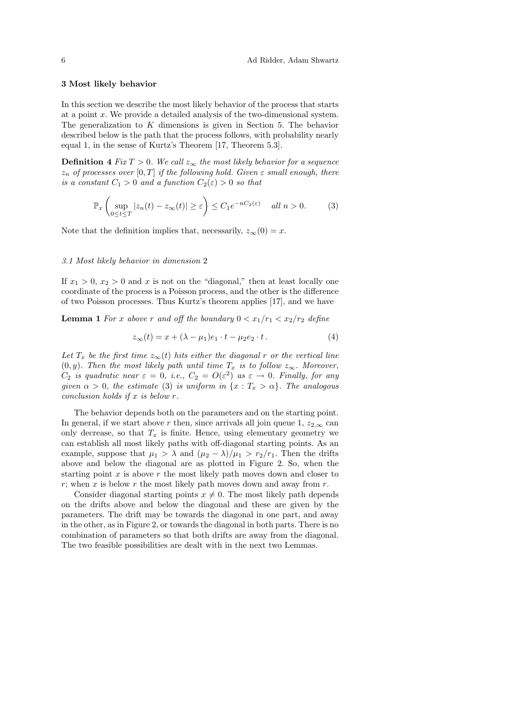# 3 Most likely behavior

In this section we describe the most likely behavior of the process that starts at a point x. We provide a detailed analysis of the two-dimensional system. The generalization to  $K$  dimensions is given in Section 5. The behavior described below is the path that the process follows, with probability nearly equal 1, in the sense of Kurtz's Theorem [17, Theorem 5.3].

**Definition 4** Fix  $T > 0$ . We call  $z_{\infty}$  the most likely behavior for a sequence  $z_n$  of processes over  $[0, T]$  if the following hold. Given  $\varepsilon$  small enough, there is a constant  $C_1 > 0$  and a function  $C_2(\varepsilon) > 0$  so that

$$
\mathbb{P}_x \left( \sup_{0 \le t \le T} |z_n(t) - z_\infty(t)| \ge \varepsilon \right) \le C_1 e^{-nC_2(\varepsilon)} \quad \text{all } n > 0. \tag{3}
$$

Note that the definition implies that, necessarily,  $z_{\infty}(0) = x$ .

# 3.1 Most likely behavior in dimension 2

If  $x_1 > 0$ ,  $x_2 > 0$  and x is not on the "diagonal," then at least locally one coordinate of the process is a Poisson process, and the other is the difference of two Poisson processes. Thus Kurtz's theorem applies [17], and we have

**Lemma 1** For x above r and off the boundary  $0 < x_1/r_1 < x_2/r_2$  define

$$
z_{\infty}(t) = x + (\lambda - \mu_1)e_1 \cdot t - \mu_2 e_2 \cdot t. \tag{4}
$$

Let  $T_x$  be the first time  $z_\infty(t)$  hits either the diagonal r or the vertical line  $(0, y)$ . Then the most likely path until time  $T_x$  is to follow  $z_{\infty}$ . Moreover,  $C_2$  is quadratic near  $\varepsilon = 0$ , i.e.,  $C_2 = O(\varepsilon^2)$  as  $\varepsilon \to 0$ . Finally, for any given  $\alpha > 0$ , the estimate (3) is uniform in  $\{x : T_x > \alpha\}$ . The analogous conclusion holds if  $x$  is below  $r$ .

The behavior depends both on the parameters and on the starting point. In general, if we start above r then, since arrivals all join queue 1,  $z_{2,\infty}$  can only decrease, so that  $T_x$  is finite. Hence, using elementary geometry we can establish all most likely paths with off-diagonal starting points. As an example, suppose that  $\mu_1 > \lambda$  and  $(\mu_2 - \lambda)/\mu_1 > r_2/r_1$ . Then the drifts above and below the diagonal are as plotted in Figure 2. So, when the starting point  $x$  is above  $r$  the most likely path moves down and closer to r; when x is below r the most likely path moves down and away from  $r$ .

Consider diagonal starting points  $x \neq 0$ . The most likely path depends on the drifts above and below the diagonal and these are given by the parameters. The drift may be towards the diagonal in one part, and away in the other, as in Figure 2, or towards the diagonal in both parts. There is no combination of parameters so that both drifts are away from the diagonal. The two feasible possibilities are dealt with in the next two Lemmas.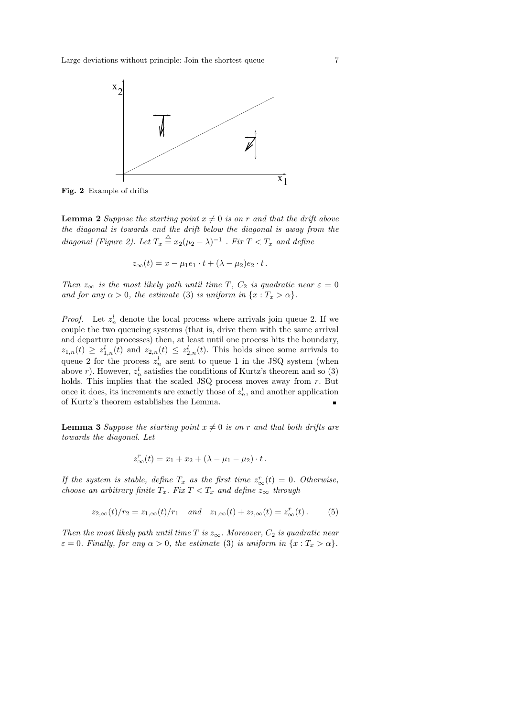

Fig. 2 Example of drifts

**Lemma 2** Suppose the starting point  $x \neq 0$  is on r and that the drift above the diagonal is towards and the drift below the diagonal is away from the diagonal (Figure 2). Let  $T_x \stackrel{\triangle}{=} x_2(\mu_2 - \lambda)^{-1}$  . Fix  $T < T_x$  and define

$$
z_{\infty}(t) = x - \mu_1 e_1 \cdot t + (\lambda - \mu_2)e_2 \cdot t.
$$

Then  $z_{\infty}$  is the most likely path until time T,  $C_2$  is quadratic near  $\varepsilon = 0$ and for any  $\alpha > 0$ , the estimate (3) is uniform in  $\{x : T_x > \alpha\}.$ 

*Proof.* Let  $z_n^l$  denote the local process where arrivals join queue 2. If we couple the two queueing systems (that is, drive them with the same arrival and departure processes) then, at least until one process hits the boundary,  $z_{1,n}(t) \geq z_{1,n}^l(t)$  and  $z_{2,n}(t) \leq z_{2,n}^l(t)$ . This holds since some arrivals to queue 2 for the process  $z_n^l$  are sent to queue 1 in the JSQ system (when above r). However,  $z_n^l$  satisfies the conditions of Kurtz's theorem and so (3) holds. This implies that the scaled JSQ process moves away from  $r$ . But once it does, its increments are exactly those of  $z_n^l$ , and another application of Kurtz's theorem establishes the Lemma. п

**Lemma 3** Suppose the starting point  $x \neq 0$  is on r and that both drifts are towards the diagonal. Let

$$
z_{\infty}^{r}(t) = x_1 + x_2 + (\lambda - \mu_1 - \mu_2) \cdot t.
$$

If the system is stable, define  $T_x$  as the first time  $z^r_\infty(t) = 0$ . Otherwise, choose an arbitrary finite  $T_x$ . Fix  $T < T_x$  and define  $z_{\infty}$  through

$$
z_{2,\infty}(t)/r_2 = z_{1,\infty}(t)/r_1 \quad and \quad z_{1,\infty}(t) + z_{2,\infty}(t) = z_{\infty}^r(t). \tag{5}
$$

Then the most likely path until time T is  $z_{\infty}$ . Moreover,  $C_2$  is quadratic near  $\varepsilon = 0$ . Finally, for any  $\alpha > 0$ , the estimate (3) is uniform in  $\{x : T_x > \alpha\}$ .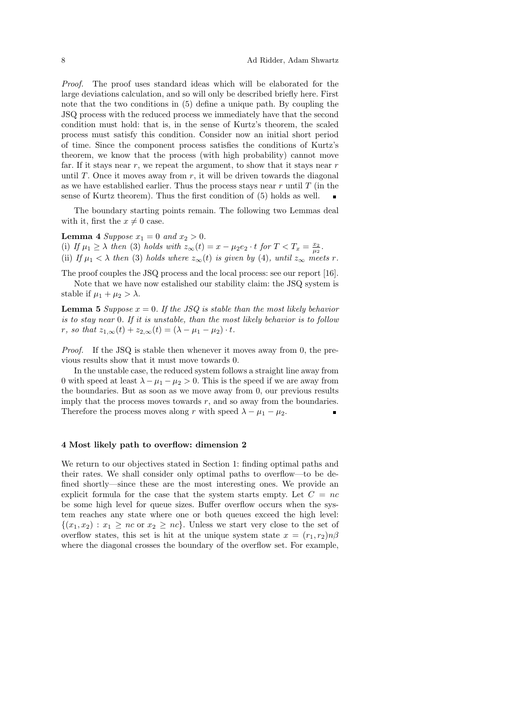Proof. The proof uses standard ideas which will be elaborated for the large deviations calculation, and so will only be described briefly here. First note that the two conditions in (5) define a unique path. By coupling the JSQ process with the reduced process we immediately have that the second condition must hold: that is, in the sense of Kurtz's theorem, the scaled process must satisfy this condition. Consider now an initial short period of time. Since the component process satisfies the conditions of Kurtz's theorem, we know that the process (with high probability) cannot move far. If it stays near  $r$ , we repeat the argument, to show that it stays near  $r$ until  $T$ . Once it moves away from  $r$ , it will be driven towards the diagonal as we have established earlier. Thus the process stays near  $r$  until  $T$  (in the sense of Kurtz theorem). Thus the first condition of (5) holds as well.

The boundary starting points remain. The following two Lemmas deal with it, first the  $x \neq 0$  case.

**Lemma 4** Suppose  $x_1 = 0$  and  $x_2 > 0$ . (i) If  $\mu_1 \geq \lambda$  then (3) holds with  $z_{\infty}(t) = x - \mu_2 e_2 \cdot t$  for  $T < T_x = \frac{x_2}{\mu_2}$ . (ii) If  $\mu_1 < \lambda$  then (3) holds where  $z_{\infty}(t)$  is given by (4), until  $z_{\infty}$  meets r.

The proof couples the JSQ process and the local process: see our report [16]. Note that we have now estalished our stability claim: the JSQ system is stable if  $\mu_1 + \mu_2 > \lambda$ .

**Lemma 5** Suppose  $x = 0$ . If the JSQ is stable than the most likely behavior is to stay near 0. If it is unstable, than the most likely behavior is to follow r, so that  $z_{1,\infty}(t) + z_{2,\infty}(t) = (\lambda - \mu_1 - \mu_2) \cdot t$ .

Proof. If the JSQ is stable then whenever it moves away from 0, the previous results show that it must move towards 0.

In the unstable case, the reduced system follows a straight line away from 0 with speed at least  $\lambda - \mu_1 - \mu_2 > 0$ . This is the speed if we are away from the boundaries. But as soon as we move away from 0, our previous results imply that the process moves towards  $r$ , and so away from the boundaries. Therefore the process moves along r with speed  $\lambda - \mu_1 - \mu_2$ .

# 4 Most likely path to overflow: dimension 2

We return to our objectives stated in Section 1: finding optimal paths and their rates. We shall consider only optimal paths to overflow—to be defined shortly—since these are the most interesting ones. We provide an explicit formula for the case that the system starts empty. Let  $C = nc$ be some high level for queue sizes. Buffer overflow occurs when the system reaches any state where one or both queues exceed the high level:  $\{(x_1, x_2) : x_1 \geq nc \text{ or } x_2 \geq nc\}$ . Unless we start very close to the set of overflow states, this set is hit at the unique system state  $x = (r_1, r_2)n\beta$ where the diagonal crosses the boundary of the overflow set. For example,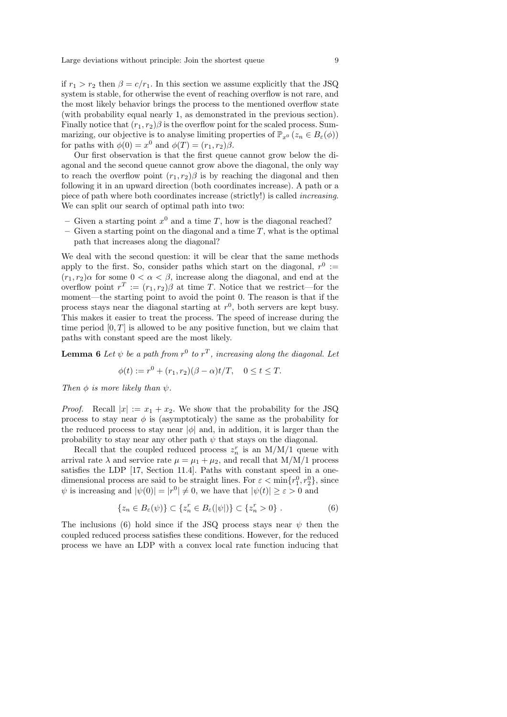if  $r_1 > r_2$  then  $\beta = c/r_1$ . In this section we assume explicitly that the JSQ system is stable, for otherwise the event of reaching overflow is not rare, and the most likely behavior brings the process to the mentioned overflow state (with probability equal nearly 1, as demonstrated in the previous section). Finally notice that  $(r_1, r_2)\beta$  is the overflow point for the scaled process. Summarizing, our objective is to analyse limiting properties of  $\mathbb{P}_{x^0}$   $(z_n \in B_\varepsilon(\phi))$ for paths with  $\phi(0) = x^0$  and  $\phi(T) = (r_1, r_2)\beta$ .

Our first observation is that the first queue cannot grow below the diagonal and the second queue cannot grow above the diagonal, the only way to reach the overflow point  $(r_1, r_2)\beta$  is by reaching the diagonal and then following it in an upward direction (both coordinates increase). A path or a piece of path where both coordinates increase (strictly!) is called increasing. We can split our search of optimal path into two:

- Given a starting point  $x^0$  and a time T, how is the diagonal reached?
- Given a starting point on the diagonal and a time  $T$ , what is the optimal path that increases along the diagonal?

We deal with the second question: it will be clear that the same methods apply to the first. So, consider paths which start on the diagonal,  $r^0 :=$  $(r_1, r_2)$ α for some  $0 < \alpha < \beta$ , increase along the diagonal, and end at the overflow point  $r^T := (r_1, r_2)\beta$  at time T. Notice that we restrict—for the moment—the starting point to avoid the point 0. The reason is that if the process stays near the diagonal starting at  $r^0$ , both servers are kept busy. This makes it easier to treat the process. The speed of increase during the time period  $[0, T]$  is allowed to be any positive function, but we claim that paths with constant speed are the most likely.

**Lemma 6** Let  $\psi$  be a path from  $r^0$  to  $r^T$ , increasing along the diagonal. Let

$$
\phi(t) := r^0 + (r_1, r_2)(\beta - \alpha)t/T, \quad 0 \le t \le T.
$$

Then  $\phi$  is more likely than  $\psi$ .

*Proof.* Recall  $|x| := x_1 + x_2$ . We show that the probability for the JSQ process to stay near  $\phi$  is (asymptoticaly) the same as the probability for the reduced process to stay near  $|\phi|$  and, in addition, it is larger than the probability to stay near any other path  $\psi$  that stays on the diagonal.

Recall that the coupled reduced process  $z_n^r$  is an M/M/1 queue with arrival rate  $\lambda$  and service rate  $\mu = \mu_1 + \mu_2$ , and recall that M/M/1 process satisfies the LDP [17, Section 11.4]. Paths with constant speed in a onedimensional process are said to be straight lines. For  $\varepsilon < \min\{r_1^0, r_2^0\}$ , since  $\psi$  is increasing and  $|\psi(0)| = |r^0| \neq 0$ , we have that  $|\psi(t)| \geq \varepsilon > 0$  and

$$
\{z_n \in B_{\varepsilon}(\psi)\} \subset \{z_n^r \in B_{\varepsilon}(|\psi|)\} \subset \{z_n^r > 0\} .
$$
 (6)

The inclusions (6) hold since if the JSQ process stays near  $\psi$  then the coupled reduced process satisfies these conditions. However, for the reduced process we have an LDP with a convex local rate function inducing that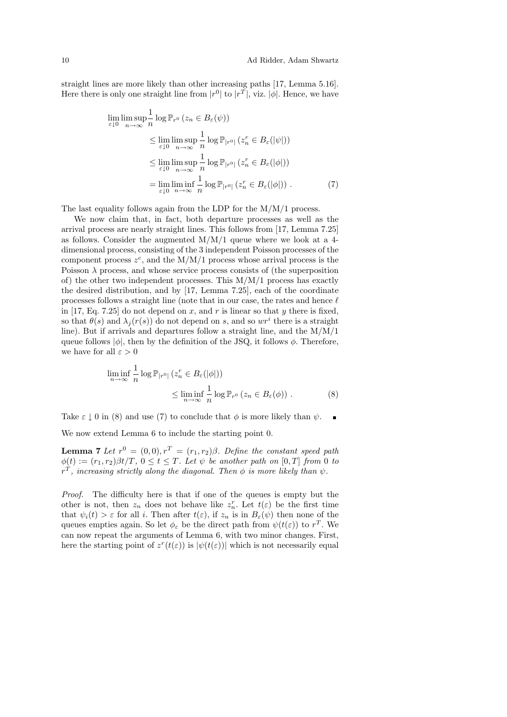straight lines are more likely than other increasing paths [17, Lemma 5.16]. Here there is only one straight line from  $|r^0|$  to  $|r^T|$ , viz.  $|\phi|$ . Hence, we have

$$
\lim_{\varepsilon \downarrow 0} \lim_{n \to \infty} \frac{1}{n} \log \mathbb{P}_{r^0} \left( z_n \in B_{\varepsilon}(\psi) \right)
$$
\n
$$
\leq \lim_{\varepsilon \downarrow 0} \limsup_{n \to \infty} \frac{1}{n} \log \mathbb{P}_{|r^0|} \left( z_n^r \in B_{\varepsilon}(|\psi|) \right)
$$
\n
$$
\leq \lim_{\varepsilon \downarrow 0} \limsup_{n \to \infty} \frac{1}{n} \log \mathbb{P}_{|r^0|} \left( z_n^r \in B_{\varepsilon}(|\phi|) \right)
$$
\n
$$
= \lim_{\varepsilon \downarrow 0} \liminf_{n \to \infty} \frac{1}{n} \log \mathbb{P}_{|r^0|} \left( z_n^r \in B_{\varepsilon}(|\phi|) \right). \tag{7}
$$

The last equality follows again from the LDP for the  $M/M/1$  process.

We now claim that, in fact, both departure processes as well as the arrival process are nearly straight lines. This follows from [17, Lemma 7.25] as follows. Consider the augmented M/M/1 queue where we look at a 4 dimensional process, consisting of the 3 independent Poisson processes of the component process  $z^c$ , and the M/M/1 process whose arrival process is the Poisson  $\lambda$  process, and whose service process consists of (the superposition of) the other two independent processes. This M/M/1 process has exactly the desired distribution, and by [17, Lemma 7.25], each of the coordinate processes follows a straight line (note that in our case, the rates and hence  $\ell$ in [17, Eq. 7.25] do not depend on x, and r is linear so that y there is fixed, so that  $\theta(s)$  and  $\lambda_j(r(s))$  do not depend on s, and so  $wr^i$  there is a straight line). But if arrivals and departures follow a straight line, and the M/M/1 queue follows  $|\phi|$ , then by the definition of the JSQ, it follows  $\phi$ . Therefore, we have for all  $\varepsilon > 0$ 

$$
\liminf_{n \to \infty} \frac{1}{n} \log \mathbb{P}_{|r^0|} \left( z_n^r \in B_\varepsilon(|\phi|) \right) \leq \liminf_{n \to \infty} \frac{1}{n} \log \mathbb{P}_{r^0} \left( z_n \in B_\varepsilon(\phi) \right). \tag{8}
$$

Take  $\varepsilon \downarrow 0$  in (8) and use (7) to conclude that  $\phi$  is more likely than  $\psi$ .

We now extend Lemma 6 to include the starting point 0.

**Lemma 7** Let  $r^0 = (0,0), r^T = (r_1, r_2)\beta$ . Define the constant speed path  $\phi(t) := (r_1, r_2)\beta t/T$ ,  $0 \le t \le T$ . Let  $\psi$  be another path on [0, T] from 0 to  $r^T$ , increasing strictly along the diagonal. Then  $\phi$  is more likely than  $\psi$ .

Proof. The difficulty here is that if one of the queues is empty but the other is not, then  $z_n$  does not behave like  $z_n^r$ . Let  $t(\varepsilon)$  be the first time that  $\psi_i(t) > \varepsilon$  for all i. Then after  $t(\varepsilon)$ , if  $z_n$  is in  $B_{\varepsilon}(\psi)$  then none of the queues empties again. So let  $\phi_{\varepsilon}$  be the direct path from  $\psi(t(\varepsilon))$  to  $r^T$ . We can now repeat the arguments of Lemma 6, with two minor changes. First, here the starting point of  $z^r(t(\varepsilon))$  is  $|\psi(t(\varepsilon))|$  which is not necessarily equal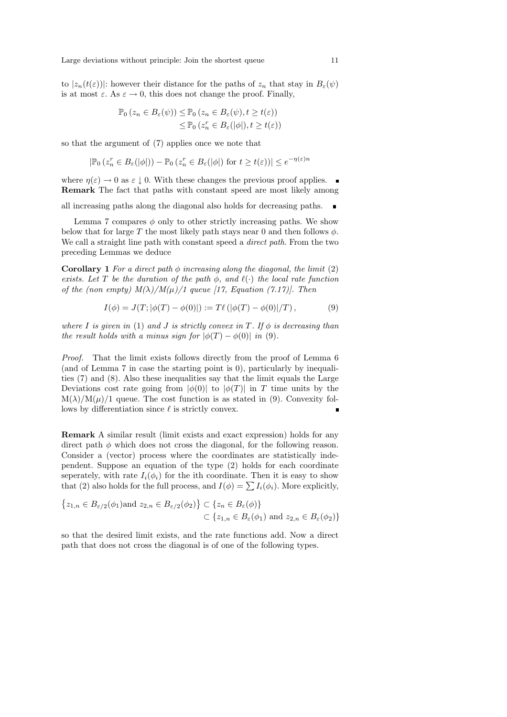to  $|z_n(t(\varepsilon))|$ : however their distance for the paths of  $z_n$  that stay in  $B_\varepsilon(\psi)$ is at most  $\varepsilon$ . As  $\varepsilon \to 0$ , this does not change the proof. Finally,

$$
\mathbb{P}_0(z_n \in B_{\varepsilon}(\psi)) \leq \mathbb{P}_0(z_n \in B_{\varepsilon}(\psi), t \geq t(\varepsilon))
$$
  

$$
\leq \mathbb{P}_0(z_n^r \in B_{\varepsilon}(|\phi|), t \geq t(\varepsilon))
$$

so that the argument of (7) applies once we note that

$$
|\mathbb{P}_0(z_n^r \in B_\varepsilon(|\phi|)) - \mathbb{P}_0(z_n^r \in B_\varepsilon(|\phi|))
$$
 for  $t \ge t(\varepsilon)) \le e^{-\eta(\varepsilon)n}$ 

where  $\eta(\varepsilon) \to 0$  as  $\varepsilon \downarrow 0$ . With these changes the previous proof applies. Remark The fact that paths with constant speed are most likely among

all increasing paths along the diagonal also holds for decreasing paths.

Lemma 7 compares  $\phi$  only to other strictly increasing paths. We show below that for large T the most likely path stays near 0 and then follows  $\phi$ . We call a straight line path with constant speed a *direct path*. From the two preceding Lemmas we deduce

**Corollary 1** For a direct path  $\phi$  increasing along the diagonal, the limit (2) exists. Let T be the duration of the path  $\phi$ , and  $\ell(\cdot)$  the local rate function of the (non empty)  $M(\lambda)/M(\mu)/1$  queue [17, Equation (7.17)]. Then

$$
I(\phi) = J(T; |\phi(T) - \phi(0)|) := T\ell(|\phi(T) - \phi(0)|/T), \tag{9}
$$

where I is given in (1) and J is strictly convex in T. If  $\phi$  is decreasing than the result holds with a minus sign for  $|\phi(T) - \phi(0)|$  in (9).

Proof. That the limit exists follows directly from the proof of Lemma 6 (and of Lemma 7 in case the starting point is 0), particularly by inequalities (7) and (8). Also these inequalities say that the limit equals the Large Deviations cost rate going from  $|\phi(0)|$  to  $|\phi(T)|$  in T time units by the  $M(\lambda)/M(\mu)/1$  queue. The cost function is as stated in (9). Convexity follows by differentiation since  $\ell$  is strictly convex.

Remark A similar result (limit exists and exact expression) holds for any direct path  $\phi$  which does not cross the diagonal, for the following reason. Consider a (vector) process where the coordinates are statistically independent. Suppose an equation of the type (2) holds for each coordinate seperately, with rate  $I_i(\phi_i)$  for the ith coordinate. Then it is easy to show that (2) also holds for the full process, and  $I(\phi) = \sum I_i(\phi_i)$ . More explicitly,

$$
\{z_{1,n} \in B_{\varepsilon/2}(\phi_1) \text{and } z_{2,n} \in B_{\varepsilon/2}(\phi_2) \} \subset \{z_n \in B_{\varepsilon}(\phi) \}
$$
  

$$
\subset \{z_{1,n} \in B_{\varepsilon}(\phi_1) \text{ and } z_{2,n} \in B_{\varepsilon}(\phi_2) \}
$$

so that the desired limit exists, and the rate functions add. Now a direct path that does not cross the diagonal is of one of the following types.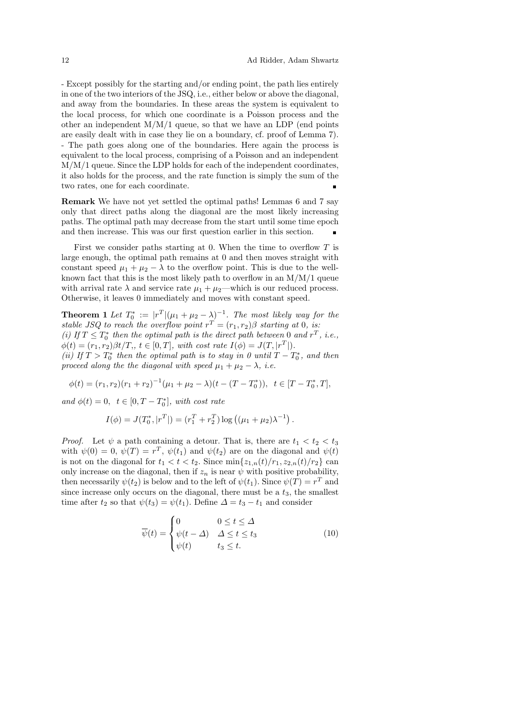- Except possibly for the starting and/or ending point, the path lies entirely in one of the two interiors of the JSQ, i.e., either below or above the diagonal, and away from the boundaries. In these areas the system is equivalent to the local process, for which one coordinate is a Poisson process and the other an independent  $M/M/1$  queue, so that we have an LDP (end points are easily dealt with in case they lie on a boundary, cf. proof of Lemma 7). - The path goes along one of the boundaries. Here again the process is equivalent to the local process, comprising of a Poisson and an independent M/M/1 queue. Since the LDP holds for each of the independent coordinates, it also holds for the process, and the rate function is simply the sum of the two rates, one for each coordinate.

Remark We have not yet settled the optimal paths! Lemmas 6 and 7 say only that direct paths along the diagonal are the most likely increasing paths. The optimal path may decrease from the start until some time epoch and then increase. This was our first question earlier in this section.

First we consider paths starting at 0. When the time to overflow  $T$  is large enough, the optimal path remains at 0 and then moves straight with constant speed  $\mu_1 + \mu_2 - \lambda$  to the overflow point. This is due to the wellknown fact that this is the most likely path to overflow in an  $M/M/1$  queue with arrival rate  $\lambda$  and service rate  $\mu_1 + \mu_2$ —which is our reduced process. Otherwise, it leaves 0 immediately and moves with constant speed.

**Theorem 1** Let  $T_0^* := |r^T|(\mu_1 + \mu_2 - \lambda)^{-1}$ . The most likely way for the stable JSQ to reach the overflow point  $r^T = (r_1, r_2) \beta$  starting at 0, is: (i) If  $T \leq T_0^*$  then the optimal path is the direct path between 0 and  $r^T$ , i.e.,  $\phi(t) = (r_1, r_2)\beta t/T$ ,  $t \in [0, T]$ , with cost rate  $I(\phi) = J(T, |r^T|)$ . (ii) If  $T > T_0^*$  then the optimal path is to stay in 0 until  $T - T_0^*$ , and then proceed along the the diagonal with speed  $\mu_1 + \mu_2 - \lambda$ , i.e.

$$
\phi(t) = (r_1, r_2)(r_1 + r_2)^{-1}(\mu_1 + \mu_2 - \lambda)(t - (T - T_0^*)), \quad t \in [T - T_0^*, T],
$$

and  $\phi(t) = 0, t \in [0, T - T_0^*]$ , with cost rate

$$
I(\phi) = J(T_0^*, |r^T|) = (r_1^T + r_2^T) \log ((\mu_1 + \mu_2)\lambda^{-1}).
$$

*Proof.* Let  $\psi$  a path containing a detour. That is, there are  $t_1 < t_2 < t_3$ with  $\psi(0) = 0$ ,  $\psi(T) = r^T$ ,  $\psi(t_1)$  and  $\psi(t_2)$  are on the diagonal and  $\psi(t)$ is not on the diagonal for  $t_1 < t < t_2$ . Since  $\min\{z_{1,n}(t)/r_1, z_{2,n}(t)/r_2\}$  can only increase on the diagonal, then if  $z_n$  is near  $\psi$  with positive probability, then necessarily  $\psi(t_2)$  is below and to the left of  $\psi(t_1)$ . Since  $\psi(T) = r^T$  and since increase only occurs on the diagonal, there must be a  $t_3$ , the smallest time after  $t_2$  so that  $\psi(t_3) = \psi(t_1)$ . Define  $\Delta = t_3 - t_1$  and consider

$$
\overline{\psi}(t) = \begin{cases}\n0 & 0 \le t \le \Delta \\
\psi(t - \Delta) & \Delta \le t \le t_3 \\
\psi(t) & t_3 \le t.\n\end{cases}
$$
\n(10)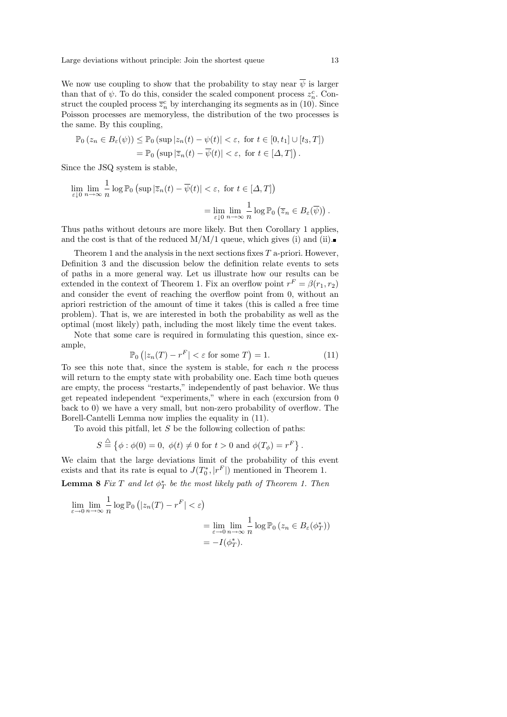Large deviations without principle: Join the shortest queue 13

We now use coupling to show that the probability to stay near  $\overline{\psi}$  is larger than that of  $\psi$ . To do this, consider the scaled component process  $z_n^c$ . Construct the coupled process  $\overline{z}_n^c$  by interchanging its segments as in (10). Since Poisson processes are memoryless, the distribution of the two processes is the same. By this coupling,

$$
\mathbb{P}_0(z_n \in B_{\varepsilon}(\psi)) \leq \mathbb{P}_0(\sup |z_n(t) - \psi(t)| < \varepsilon, \text{ for } t \in [0, t_1] \cup [t_3, T])
$$
  
= 
$$
\mathbb{P}_0(\sup |\overline{z}_n(t) - \overline{\psi}(t)| < \varepsilon, \text{ for } t \in [\Delta, T]).
$$

Since the JSQ system is stable,

$$
\lim_{\varepsilon \downarrow 0} \lim_{n \to \infty} \frac{1}{n} \log \mathbb{P}_0 \left( \sup |\overline{z}_n(t) - \overline{\psi}(t)| < \varepsilon, \text{ for } t \in [\Delta, T] \right)
$$
\n
$$
= \lim_{\varepsilon \downarrow 0} \lim_{n \to \infty} \frac{1}{n} \log \mathbb{P}_0 \left( \overline{z}_n \in B_{\varepsilon}(\overline{\psi}) \right).
$$

Thus paths without detours are more likely. But then Corollary 1 applies, and the cost is that of the reduced  $M/M/1$  queue, which gives (i) and (ii).

Theorem 1 and the analysis in the next sections fixes  $T$  a-priori. However, Definition 3 and the discussion below the definition relate events to sets of paths in a more general way. Let us illustrate how our results can be extended in the context of Theorem 1. Fix an overflow point  $r^F = \beta(r_1, r_2)$ and consider the event of reaching the overflow point from 0, without an apriori restriction of the amount of time it takes (this is called a free time problem). That is, we are interested in both the probability as well as the optimal (most likely) path, including the most likely time the event takes.

Note that some care is required in formulating this question, since example,

$$
\mathbb{P}_0\left(|z_n(T) - r^F| < \varepsilon \text{ for some } T\right) = 1. \tag{11}
$$

To see this note that, since the system is stable, for each  $n$  the process will return to the empty state with probability one. Each time both queues are empty, the process "restarts," independently of past behavior. We thus get repeated independent "experiments," where in each (excursion from 0 back to 0) we have a very small, but non-zero probability of overflow. The Borell-Cantelli Lemma now implies the equality in (11).

To avoid this pitfall, let  $S$  be the following collection of paths:

$$
S \stackrel{\triangle}{=} \{ \phi : \phi(0) = 0, \ \phi(t) \neq 0 \text{ for } t > 0 \text{ and } \phi(T_{\phi}) = r^F \}.
$$

We claim that the large deviations limit of the probability of this event exists and that its rate is equal to  $J(T_0^*, |r^F|)$  mentioned in Theorem 1.

**Lemma 8** Fix T and let  $\phi_T^*$  be the most likely path of Theorem 1. Then

$$
\lim_{\varepsilon \to 0} \lim_{n \to \infty} \frac{1}{n} \log \mathbb{P}_0 \left( |z_n(T) - r^F| < \varepsilon \right)
$$
\n
$$
= \lim_{\varepsilon \to 0} \lim_{n \to \infty} \frac{1}{n} \log \mathbb{P}_0 \left( z_n \in B_{\varepsilon}(\phi_T^*) \right)
$$
\n
$$
= -I(\phi_T^*).
$$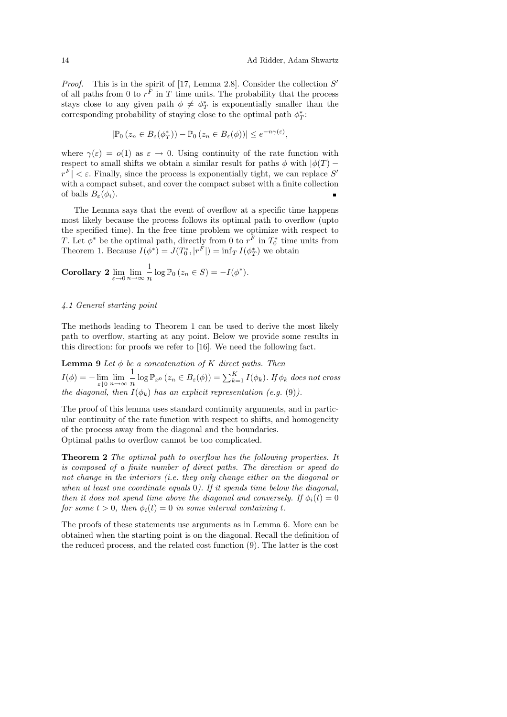*Proof.* This is in the spirit of [17, Lemma 2.8]. Consider the collection  $S'$ of all paths from 0 to  $r^F$  in T time units. The probability that the process stays close to any given path  $\phi \neq \phi_T^*$  is exponentially smaller than the corresponding probability of staying close to the optimal path  $\phi^*_T\colon$ 

$$
|\mathbb{P}_0(z_n \in B_{\varepsilon}(\phi_T^*)) - \mathbb{P}_0(z_n \in B_{\varepsilon}(\phi))| \leq e^{-n\gamma(\varepsilon)},
$$

where  $\gamma(\varepsilon) = o(1)$  as  $\varepsilon \to 0$ . Using continuity of the rate function with respect to small shifts we obtain a similar result for paths  $\phi$  with  $|\phi(T)$  $r^F$   $| \lt \varepsilon$ . Finally, since the process is exponentially tight, we can replace S' with a compact subset, and cover the compact subset with a finite collection of balls  $B_{\varepsilon}(\phi_i)$ . ř.

The Lemma says that the event of overflow at a specific time happens most likely because the process follows its optimal path to overflow (upto the specified time). In the free time problem we optimize with respect to T. Let  $\phi^*$  be the optimal path, directly from 0 to  $r^F$  in  $T_0^*$  time units from Theorem 1. Because  $I(\phi^*) = J(T_0^*, |r^F|) = \inf_T I(\phi_T^*)$  we obtain

Corollary 2 
$$
\lim_{\varepsilon \to 0} \lim_{n \to \infty} \frac{1}{n} \log \mathbb{P}_0 (z_n \in S) = -I(\phi^*).
$$

# 4.1 General starting point

The methods leading to Theorem 1 can be used to derive the most likely path to overflow, starting at any point. Below we provide some results in this direction: for proofs we refer to [16]. We need the following fact.

**Lemma 9** Let  $\phi$  be a concatenation of K direct paths. Then  $I(\phi) = -\lim_{\varepsilon \downarrow 0} \lim_{n \to \infty} \frac{1}{n}$  $\frac{1}{n}\log \mathbb{P}_{x^0}\left(z_n \in B_{\varepsilon}(\phi)\right) = \sum_{k=1}^K I(\phi_k)$ . If  $\phi_k$  does not cross the diagonal, then  $I(\phi_k)$  has an explicit representation (e.g. (9)).

The proof of this lemma uses standard continuity arguments, and in particular continuity of the rate function with respect to shifts, and homogeneity of the process away from the diagonal and the boundaries. Optimal paths to overflow cannot be too complicated.

Theorem 2 The optimal path to overflow has the following properties. It is composed of a finite number of direct paths. The direction or speed do not change in the interiors (i.e. they only change either on the diagonal or when at least one coordinate equals 0). If it spends time below the diagonal, then it does not spend time above the diagonal and conversely. If  $\phi_i(t) = 0$ for some  $t > 0$ , then  $\phi_i(t) = 0$  in some interval containing t.

The proofs of these statements use arguments as in Lemma 6. More can be obtained when the starting point is on the diagonal. Recall the definition of the reduced process, and the related cost function (9). The latter is the cost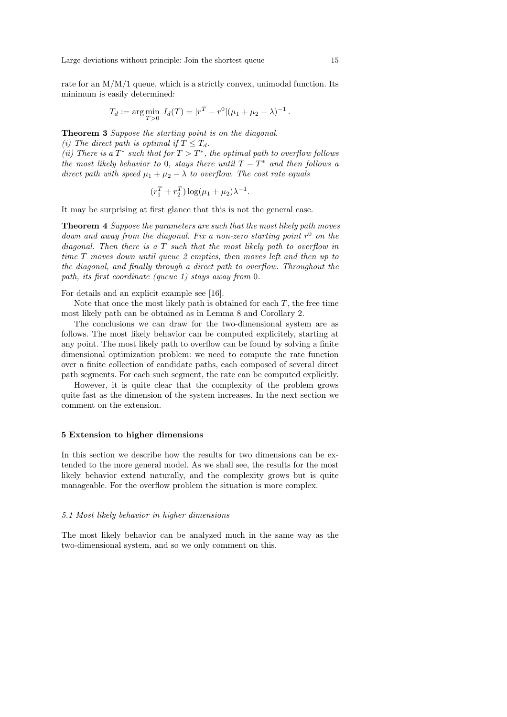Large deviations without principle: Join the shortest queue 15

rate for an  $M/M/1$  queue, which is a strictly convex, unimodal function. Its minimum is easily determined:

$$
T_d := \arg\min_{T>0} I_d(T) = |r^T - r^0|(\mu_1 + \mu_2 - \lambda)^{-1}.
$$

Theorem 3 Suppose the starting point is on the diagonal.

(i) The direct path is optimal if  $T \leq T_d$ .

(ii) There is a  $T^*$  such that for  $T > T^*$ , the optimal path to overflow follows the most likely behavior to 0, stays there until  $T - T^*$  and then follows a direct path with speed  $\mu_1 + \mu_2 - \lambda$  to overflow. The cost rate equals

$$
(r_1^T + r_2^T) \log(\mu_1 + \mu_2) \lambda^{-1}.
$$

It may be surprising at first glance that this is not the general case.

Theorem 4 Suppose the parameters are such that the most likely path moves down and away from the diagonal. Fix a non-zero starting point  $r^0$  on the diagonal. Then there is a T such that the most likely path to overflow in time T moves down until queue 2 empties, then moves left and then up to the diagonal, and finally through a direct path to overflow. Throughout the path, its first coordinate (queue 1) stays away from 0.

For details and an explicit example see [16].

Note that once the most likely path is obtained for each  $T$ , the free time most likely path can be obtained as in Lemma 8 and Corollary 2.

The conclusions we can draw for the two-dimensional system are as follows. The most likely behavior can be computed explicitely, starting at any point. The most likely path to overflow can be found by solving a finite dimensional optimization problem: we need to compute the rate function over a finite collection of candidate paths, each composed of several direct path segments. For each such segment, the rate can be computed explicitly.

However, it is quite clear that the complexity of the problem grows quite fast as the dimension of the system increases. In the next section we comment on the extension.

#### 5 Extension to higher dimensions

In this section we describe how the results for two dimensions can be extended to the more general model. As we shall see, the results for the most likely behavior extend naturally, and the complexity grows but is quite manageable. For the overflow problem the situation is more complex.

#### 5.1 Most likely behavior in higher dimensions

The most likely behavior can be analyzed much in the same way as the two-dimensional system, and so we only comment on this.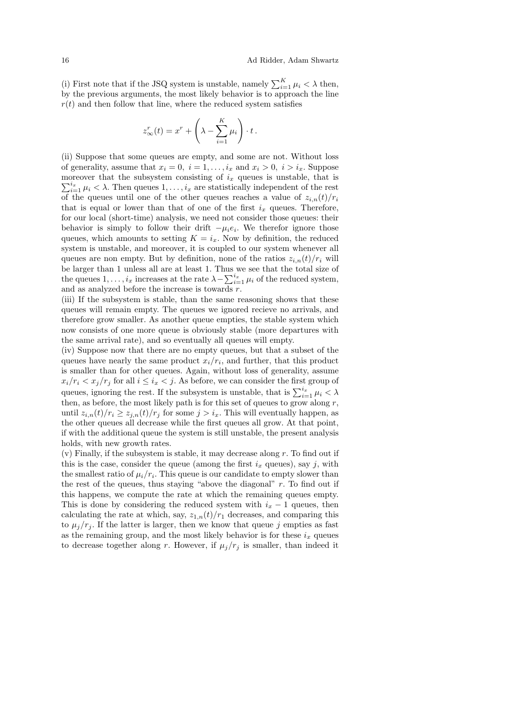(i) First note that if the JSQ system is unstable, namely  $\sum_{i=1}^{K} \mu_i < \lambda$  then, by the previous arguments, the most likely behavior is to approach the line  $r(t)$  and then follow that line, where the reduced system satisfies

$$
z_{\infty}^r(t) = x^r + \left(\lambda - \sum_{i=1}^K \mu_i\right) \cdot t.
$$

(ii) Suppose that some queues are empty, and some are not. Without loss of generality, assume that  $x_i = 0$ ,  $i = 1, \ldots, i_x$  and  $x_i > 0$ ,  $i > i_x$ . Suppose moreover that the subsystem consisting of  $i_x$  queues is unstable, that is  $\sum_{i=1}^{i_x} \mu_i < \lambda$ . Then queues  $1, \ldots, i_x$  are statistically independent of the rest of the queues until one of the other queues reaches a value of  $z_{i,n}(t)/r_i$ that is equal or lower than that of one of the first  $i_x$  queues. Therefore, for our local (short-time) analysis, we need not consider those queues: their behavior is simply to follow their drift  $-\mu_i e_i$ . We therefor ignore those queues, which amounts to setting  $K = i_x$ . Now by definition, the reduced system is unstable, and moreover, it is coupled to our system whenever all queues are non empty. But by definition, none of the ratios  $z_{i,n}(t)/r_i$  will be larger than 1 unless all are at least 1. Thus we see that the total size of the queues  $1, \ldots, i_x$  increases at the rate  $\lambda - \sum_{i=1}^{i_x} \mu_i$  of the reduced system, and as analyzed before the increase is towards r.

(iii) If the subsystem is stable, than the same reasoning shows that these queues will remain empty. The queues we ignored recieve no arrivals, and therefore grow smaller. As another queue empties, the stable system which now consists of one more queue is obviously stable (more departures with the same arrival rate), and so eventually all queues will empty.

(iv) Suppose now that there are no empty queues, but that a subset of the queues have nearly the same product  $x_i/r_i$ , and further, that this product is smaller than for other queues. Again, without loss of generality, assume  $x_i/r_i < x_j/r_j$  for all  $i \leq i_x < j$ . As before, we can consider the first group of queues, ignoring the rest. If the subsystem is unstable, that is  $\sum_{i=1}^{i_x} \mu_i < \lambda$ then, as before, the most likely path is for this set of queues to grow along  $r$ , until  $z_{i,n}(t)/r_i \geq z_{i,n}(t)/r_j$  for some  $j > i_x$ . This will eventually happen, as the other queues all decrease while the first queues all grow. At that point, if with the additional queue the system is still unstable, the present analysis holds, with new growth rates.

(v) Finally, if the subsystem is stable, it may decrease along  $r$ . To find out if this is the case, consider the queue (among the first  $i_x$  queues), say j, with the smallest ratio of  $\mu_i/r_i$ . This queue is our candidate to empty slower than the rest of the queues, thus staying "above the diagonal"  $r$ . To find out if this happens, we compute the rate at which the remaining queues empty. This is done by considering the reduced system with  $i_x - 1$  queues, then calculating the rate at which, say,  $z_{1,n}(t)/r_1$  decreases, and comparing this to  $\mu_j/r_j$ . If the latter is larger, then we know that queue j empties as fast as the remaining group, and the most likely behavior is for these  $i_x$  queues to decrease together along r. However, if  $\mu_i/r_i$  is smaller, than indeed it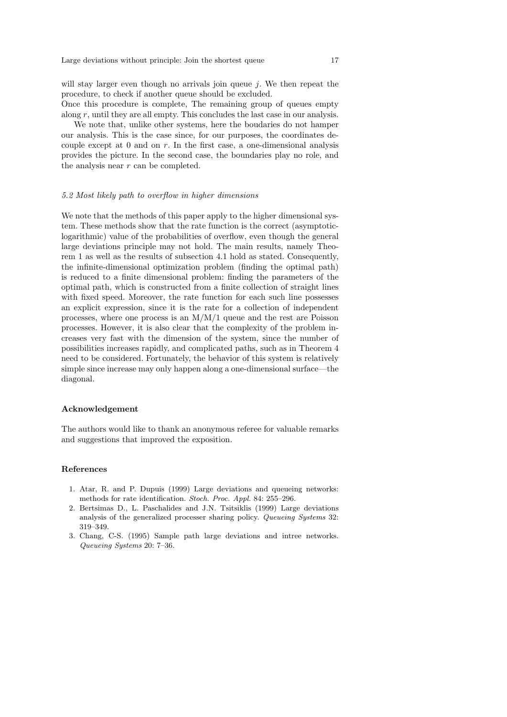will stay larger even though no arrivals join queue  $j$ . We then repeat the procedure, to check if another queue should be excluded.

Once this procedure is complete, The remaining group of queues empty along r, until they are all empty. This concludes the last case in our analysis.

We note that, unlike other systems, here the boudaries do not hamper our analysis. This is the case since, for our purposes, the coordinates decouple except at 0 and on r. In the first case, a one-dimensional analysis provides the picture. In the second case, the boundaries play no role, and the analysis near  $r$  can be completed.

# 5.2 Most likely path to overflow in higher dimensions

We note that the methods of this paper apply to the higher dimensional system. These methods show that the rate function is the correct (asymptoticlogarithmic) value of the probabilities of overflow, even though the general large deviations principle may not hold. The main results, namely Theorem 1 as well as the results of subsection 4.1 hold as stated. Consequently, the infinite-dimensional optimization problem (finding the optimal path) is reduced to a finite dimensional problem: finding the parameters of the optimal path, which is constructed from a finite collection of straight lines with fixed speed. Moreover, the rate function for each such line possesses an explicit expression, since it is the rate for a collection of independent processes, where one process is an  $M/M/1$  queue and the rest are Poisson processes. However, it is also clear that the complexity of the problem increases very fast with the dimension of the system, since the number of possibilities increases rapidly, and complicated paths, such as in Theorem 4 need to be considered. Fortunately, the behavior of this system is relatively simple since increase may only happen along a one-dimensional surface—the diagonal.

# Acknowledgement

The authors would like to thank an anonymous referee for valuable remarks and suggestions that improved the exposition.

# References

- 1. Atar, R. and P. Dupuis (1999) Large deviations and queueing networks: methods for rate identification. Stoch. Proc. Appl. 84: 255–296.
- 2. Bertsimas D., L. Paschalides and J.N. Tsitsiklis (1999) Large deviations analysis of the generalized processer sharing policy. Queueing Systems 32: 319–349.
- 3. Chang, C-S. (1995) Sample path large deviations and intree networks. Queueing Systems 20: 7–36.